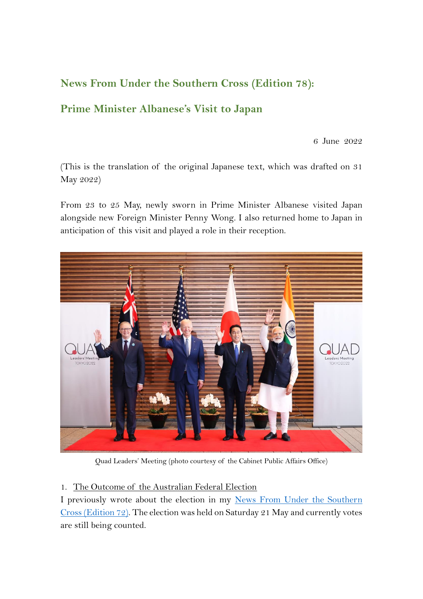## **News From Under the Southern Cross (Edition 78):**

# **Prime Minister Albanese's Visit to Japan**

6 June 2022

(This is the translation of the original Japanese text, which was drafted on 31 May 2022)

From 23 to 25 May, newly sworn in Prime Minister Albanese visited Japan alongside new Foreign Minister Penny Wong. I also returned home to Japan in anticipation of this visit and played a role in their reception.



Quad Leaders' Meeting (photo courtesy of the Cabinet Public Affairs Office)

## 1. The Outcome of the Australian Federal Election

I previously wrote about the election in my [News From Under the Southern](https://www.au.emb-japan.go.jp/files/100344812.pdf)  [Cross \(Edition 72\).](https://www.au.emb-japan.go.jp/files/100344812.pdf) The election was held on Saturday 21 May and currently votes are still being counted.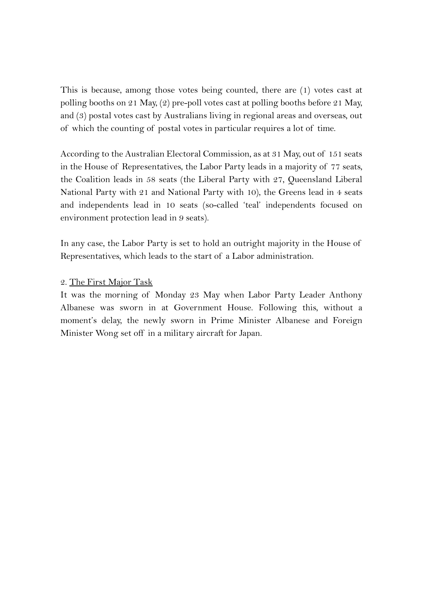This is because, among those votes being counted, there are (1) votes cast at polling booths on 21 May, (2) pre-poll votes cast at polling booths before 21 May, and (3) postal votes cast by Australians living in regional areas and overseas, out of which the counting of postal votes in particular requires a lot of time.

According to the [Australian Electoral Commission,](https://www.bing.com/ck/a?!&&p=c009f48a5043939763892ea86bb3b8a0a7e1c1e999f97af55e184fe344bcfcbaJmltdHM9MTY1NDIxMzU2MSZpZ3VpZD02NDc0MWQyMC1kMDY5LTQxZTYtOGUxZC02MDlkNDdmZTQ1ZDAmaW5zaWQ9NTE0OQ&ptn=3&fclid=284f0ee3-e2ce-11ec-99df-231a7df92152&u=a1aHR0cHM6Ly93d3cuYWVjLmdvdi5hdS8&ntb=1) as at 31 May, out of 151 seats in the House of Representatives, the Labor Party leads in a majority of 77 seats, the Coalition leads in 58 seats (the Liberal Party with 27, Queensland Liberal National Party with 21 and National Party with 10), the Greens lead in 4 seats and independents lead in 10 seats (so-called 'teal' independents focused on environment protection lead in 9 seats).

In any case, the Labor Party is set to hold an outright majority in the House of Representatives, which leads to the start of a Labor administration.

#### 2. The First Major Task

It was the morning of Monday 23 May when Labor Party Leader Anthony Albanese was sworn in at Government House. Following this, without a moment's delay, the newly sworn in Prime Minister Albanese and Foreign Minister Wong set off in a military aircraft for Japan.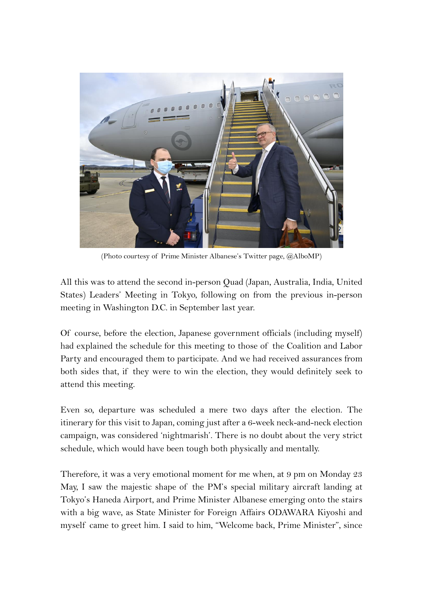

(Photo courtesy of Prime Minister Albanese's Twitter page, @AlboMP)

All this was to attend the second in-person Quad (Japan, Australia, India, United States) Leaders' Meeting in Tokyo, following on from the previous in-person meeting in Washington D.C. in September last year.

Of course, before the election, Japanese government officials (including myself) had explained the schedule for this meeting to those of the Coalition and Labor Party and encouraged them to participate. And we had received assurances from both sides that, if they were to win the election, they would definitely seek to attend this meeting.

Even so, departure was scheduled a mere two days after the election. The itinerary for this visit to Japan, coming just after a 6-week neck-and-neck election campaign, was considered 'nightmarish'. There is no doubt about the very strict schedule, which would have been tough both physically and mentally.

Therefore, it was a very emotional moment for me when, at 9 pm on Monday 23 May, I saw the majestic shape of the PM's special military aircraft landing at Tokyo's Haneda Airport, and Prime Minister Albanese emerging onto the stairs with a big wave, as State Minister for Foreign Affairs ODAWARA Kiyoshi and myself came to greet him. I said to him, "Welcome back, Prime Minister", since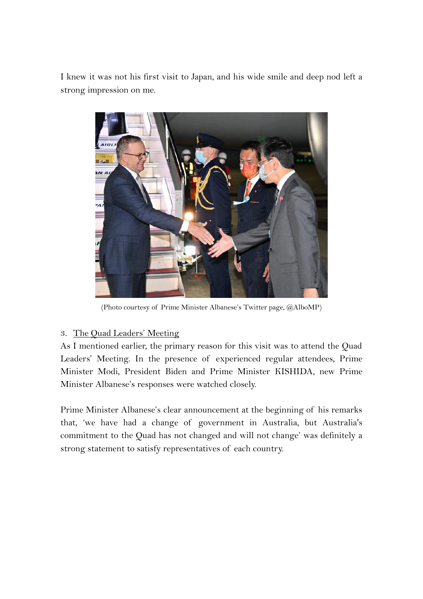I knew it was not his first visit to Japan, and his wide smile and deep nod left a strong impression on me.



(Photo courtesy of Prime Minister Albanese's Twitter page, @AlboMP)

## 3. The Quad Leaders' Meeting

As I mentioned earlier, the primary reason for this visit was to attend the Quad Leaders' Meeting. In the presence of experienced regular attendees, Prime Minister Modi, President Biden and Prime Minister KISHIDA, new Prime Minister Albanese's responses were watched closely.

Prime Minister Albanese's clear announcement at the beginning of his remarks that, 'we have had a change of government in Australia, but Australia's commitment to the Quad has not changed and will not change' was definitely a strong statement to satisfy representatives of each country.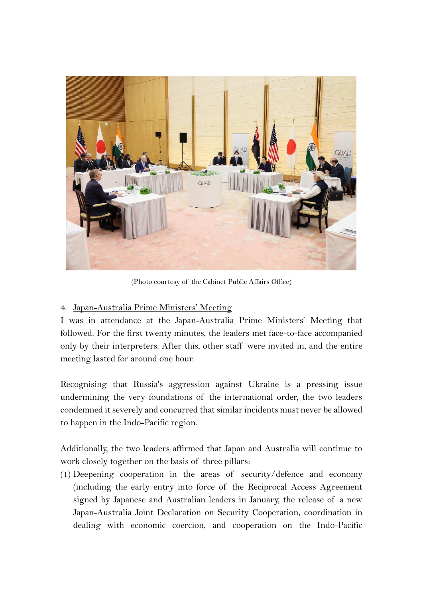

(Photo courtesy of the Cabinet Public Affairs Office)

## 4. Japan-Australia Prime Ministers' Meeting

I was in attendance at the Japan-Australia Prime Ministers' Meeting that followed. For the first twenty minutes, the leaders met face-to-face accompanied only by their interpreters. After this, other staff were invited in, and the entire meeting lasted for around one hour.

Recognising that Russia's aggression against Ukraine is a pressing issue undermining the very foundations of the international order, the two leaders condemned it severely and concurred that similar incidents must never be allowed to happen in the Indo-Pacific region.

Additionally, the two leaders affirmed that Japan and Australia will continue to work closely together on the basis of three pillars:

(1) Deepening cooperation in the areas of security/defence and economy (including the early entry into force of the Reciprocal Access Agreement signed by Japanese and Australian leaders in January, the release of a new Japan-Australia Joint Declaration on Security Cooperation, coordination in dealing with economic coercion, and cooperation on the Indo-Pacific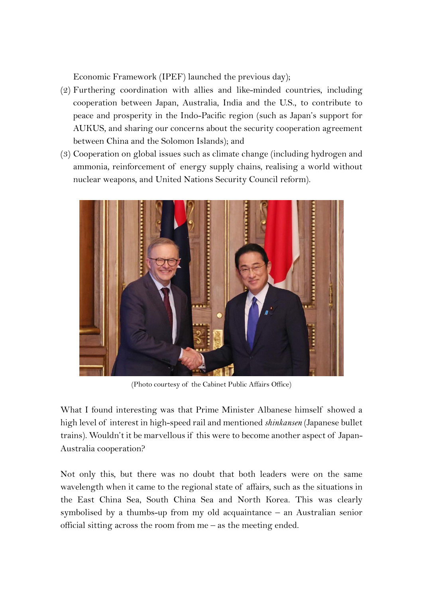Economic Framework (IPEF) launched the previous day);

- (2) Furthering coordination with allies and like-minded countries, including cooperation between Japan, Australia, India and the U.S., to contribute to peace and prosperity in the Indo-Pacific region (such as Japan's support for AUKUS, and sharing our concerns about the security cooperation agreement between China and the Solomon Islands); and
- (3) Cooperation on global issues such as climate change (including hydrogen and ammonia, reinforcement of energy supply chains, realising a world without nuclear weapons, and United Nations Security Council reform).



(Photo courtesy of the Cabinet Public Affairs Office)

What I found interesting was that Prime Minister Albanese himself showed a high level of interest in high-speed rail and mentioned *shinkansen* (Japanese bullet trains). Wouldn't it be marvellous if this were to become another aspect of Japan-Australia cooperation?

Not only this, but there was no doubt that both leaders were on the same wavelength when it came to the regional state of affairs, such as the situations in the East China Sea, South China Sea and North Korea. This was clearly symbolised by a thumbs-up from my old acquaintance – an Australian senior official sitting across the room from me – as the meeting ended.